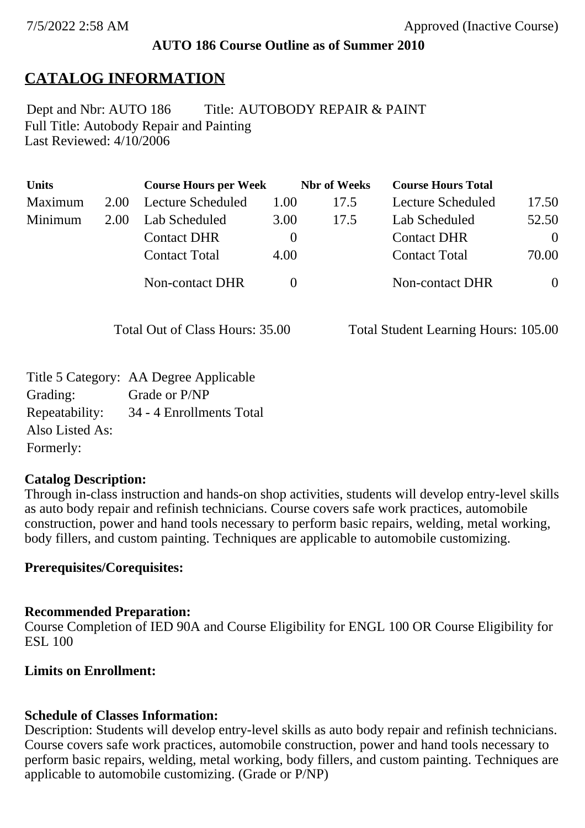## **AUTO 186 Course Outline as of Summer 2010**

# **CATALOG INFORMATION**

Full Title: Autobody Repair and Painting Last Reviewed: 4/10/2006 Dept and Nbr: AUTO 186 Title: AUTOBODY REPAIR & PAINT

| <b>Units</b> |      | <b>Course Hours per Week</b> |          | <b>Nbr</b> of Weeks | <b>Course Hours Total</b> |          |
|--------------|------|------------------------------|----------|---------------------|---------------------------|----------|
| Maximum      | 2.00 | <b>Lecture Scheduled</b>     | 1.00     | 17.5                | Lecture Scheduled         | 17.50    |
| Minimum      | 2.00 | Lab Scheduled                | 3.00     | 17.5                | Lab Scheduled             | 52.50    |
|              |      | <b>Contact DHR</b>           | $\theta$ |                     | <b>Contact DHR</b>        | $\Omega$ |
|              |      | <b>Contact Total</b>         | 4.00     |                     | <b>Contact Total</b>      | 70.00    |
|              |      | Non-contact DHR              |          |                     | <b>Non-contact DHR</b>    | $\Omega$ |

Total Out of Class Hours: 35.00 Total Student Learning Hours: 105.00

|                 | Title 5 Category: AA Degree Applicable |
|-----------------|----------------------------------------|
| Grading:        | Grade or P/NP                          |
| Repeatability:  | 34 - 4 Enrollments Total               |
| Also Listed As: |                                        |
| Formerly:       |                                        |

## **Catalog Description:**

Through in-class instruction and hands-on shop activities, students will develop entry-level skills as auto body repair and refinish technicians. Course covers safe work practices, automobile construction, power and hand tools necessary to perform basic repairs, welding, metal working, body fillers, and custom painting. Techniques are applicable to automobile customizing.

## **Prerequisites/Corequisites:**

## **Recommended Preparation:**

Course Completion of IED 90A and Course Eligibility for ENGL 100 OR Course Eligibility for ESL 100

## **Limits on Enrollment:**

## **Schedule of Classes Information:**

Description: Students will develop entry-level skills as auto body repair and refinish technicians. Course covers safe work practices, automobile construction, power and hand tools necessary to perform basic repairs, welding, metal working, body fillers, and custom painting. Techniques are applicable to automobile customizing. (Grade or P/NP)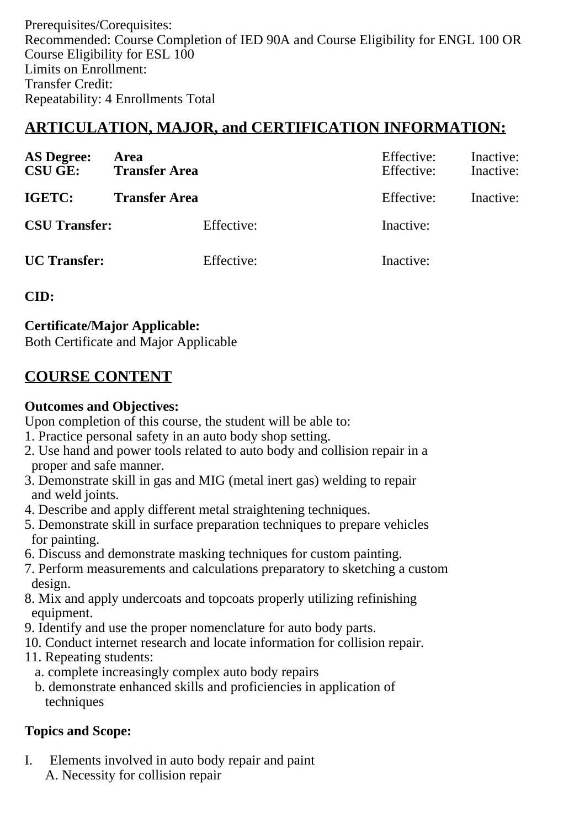Prerequisites/Corequisites: Recommended: Course Completion of IED 90A and Course Eligibility for ENGL 100 OR Course Eligibility for ESL 100 Limits on Enrollment: Transfer Credit: Repeatability: 4 Enrollments Total

## **ARTICULATION, MAJOR, and CERTIFICATION INFORMATION:**

| <b>AS Degree:</b><br><b>CSU GE:</b> | Area<br><b>Transfer Area</b> | Effective:<br>Effective: | Inactive:<br>Inactive: |
|-------------------------------------|------------------------------|--------------------------|------------------------|
| IGETC:                              | <b>Transfer Area</b>         | Effective:               | Inactive:              |
| <b>CSU Transfer:</b>                | Effective:                   | Inactive:                |                        |
| <b>UC</b> Transfer:                 | Effective:                   | Inactive:                |                        |

#### **CID:**

**Certificate/Major Applicable:** 

[Both Certificate and Major Applicable](SR_ClassCheck.aspx?CourseKey=AUTO186)

## **COURSE CONTENT**

#### **Outcomes and Objectives:**

Upon completion of this course, the student will be able to:

- 1. Practice personal safety in an auto body shop setting.
- 2. Use hand and power tools related to auto body and collision repair in a proper and safe manner.
- 3. Demonstrate skill in gas and MIG (metal inert gas) welding to repair and weld joints.
- 4. Describe and apply different metal straightening techniques.
- 5. Demonstrate skill in surface preparation techniques to prepare vehicles for painting.
- 6. Discuss and demonstrate masking techniques for custom painting.
- 7. Perform measurements and calculations preparatory to sketching a custom design.
- 8. Mix and apply undercoats and topcoats properly utilizing refinishing equipment.
- 9. Identify and use the proper nomenclature for auto body parts.
- 10. Conduct internet research and locate information for collision repair.
- 11. Repeating students:
	- a. complete increasingly complex auto body repairs
	- b. demonstrate enhanced skills and proficiencies in application of techniques

## **Topics and Scope:**

I. Elements involved in auto body repair and paint A. Necessity for collision repair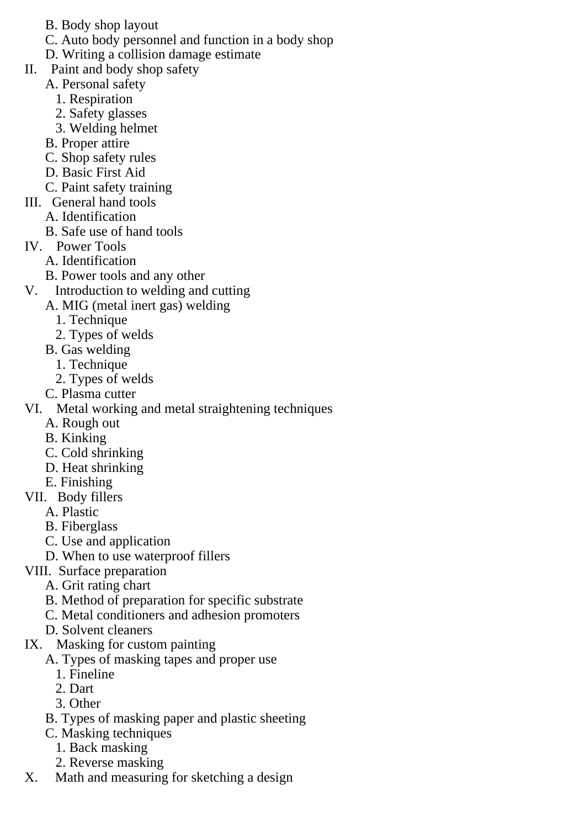- B. Body shop layout
- C. Auto body personnel and function in a body shop
- D. Writing a collision damage estimate
- II. Paint and body shop safety
	- A. Personal safety
		- 1. Respiration
		- 2. Safety glasses
		- 3. Welding helmet
	- B. Proper attire
	- C. Shop safety rules
	- D. Basic First Aid
	- C. Paint safety training
- III. General hand tools
	- A. Identification
	- B. Safe use of hand tools
- IV. Power Tools
	- A. Identification
	- B. Power tools and any other
- V. Introduction to welding and cutting
	- A. MIG (metal inert gas) welding
		- 1. Technique
		- 2. Types of welds
		- B. Gas welding
			- 1. Technique
			- 2. Types of welds
	- C. Plasma cutter
- VI. Metal working and metal straightening techniques
	- A. Rough out
	- B. Kinking
	- C. Cold shrinking
	- D. Heat shrinking
	- E. Finishing
- VII. Body fillers
	- A. Plastic
	- B. Fiberglass
	- C. Use and application
	- D. When to use waterproof fillers
- VIII. Surface preparation
	- A. Grit rating chart
	- B. Method of preparation for specific substrate
	- C. Metal conditioners and adhesion promoters
	- D. Solvent cleaners
- IX. Masking for custom painting
	- A. Types of masking tapes and proper use
		- 1. Fineline
		- 2. Dart
		- 3. Other
	- B. Types of masking paper and plastic sheeting
	- C. Masking techniques
		- 1. Back masking
		- 2. Reverse masking
- X. Math and measuring for sketching a design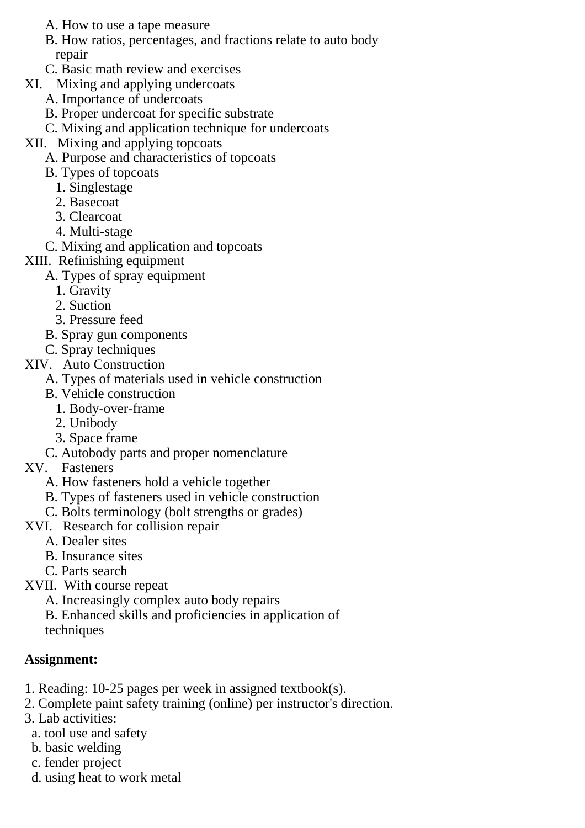- A. How to use a tape measure
- B. How ratios, percentages, and fractions relate to auto body repair
- C. Basic math review and exercises
- XI. Mixing and applying undercoats
	- A. Importance of undercoats
	- B. Proper undercoat for specific substrate
	- C. Mixing and application technique for undercoats
- XII. Mixing and applying topcoats
	- A. Purpose and characteristics of topcoats
	- B. Types of topcoats
		- 1. Singlestage
		- 2. Basecoat
		- 3. Clearcoat
		- 4. Multi-stage
	- C. Mixing and application and topcoats

#### XIII. Refinishing equipment

- A. Types of spray equipment
	- 1. Gravity
	- 2. Suction
	- 3. Pressure feed
- B. Spray gun components
- C. Spray techniques
- XIV. Auto Construction
	- A. Types of materials used in vehicle construction
	- B. Vehicle construction
		- 1. Body-over-frame
		- 2. Unibody
		- 3. Space frame
	- C. Autobody parts and proper nomenclature
- XV. Fasteners
	- A. How fasteners hold a vehicle together
	- B. Types of fasteners used in vehicle construction
	- C. Bolts terminology (bolt strengths or grades)
- XVI. Research for collision repair
	- A. Dealer sites
	- B. Insurance sites
	- C. Parts search
- XVII. With course repeat
	- A. Increasingly complex auto body repairs
	- B. Enhanced skills and proficiencies in application of techniques

#### **Assignment:**

- 1. Reading: 10-25 pages per week in assigned textbook(s).
- 2. Complete paint safety training (online) per instructor's direction.
- 3. Lab activities:
	- a. tool use and safety
	- b. basic welding
	- c. fender project
	- d. using heat to work metal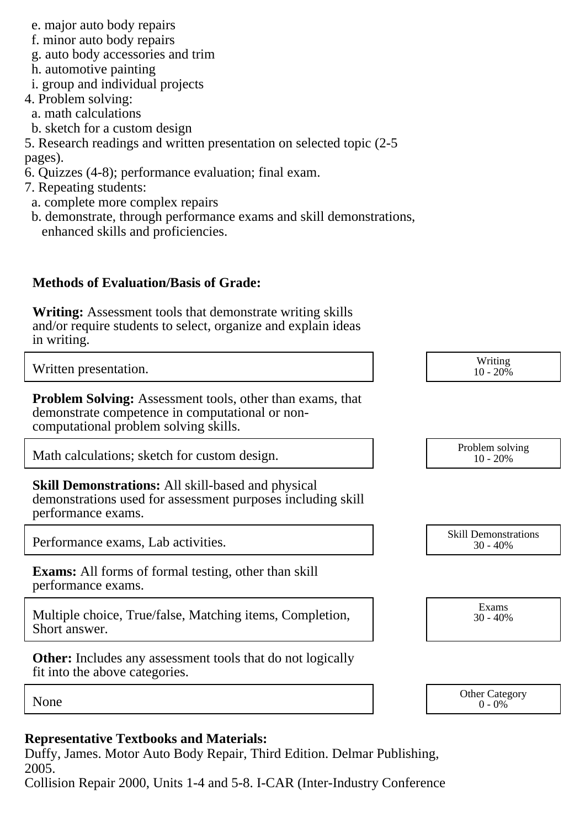- e. major auto body repairs
- f. minor auto body repairs
- g. auto body accessories and trim
- h. automotive painting
- i. group and individual projects
- 4. Problem solving:
- a. math calculations
- b. sketch for a custom design

5. Research readings and written presentation on selected topic (2-5 pages).

- 6. Quizzes (4-8); performance evaluation; final exam.
- 7. Repeating students:
- a. complete more complex repairs
- b. demonstrate, through performance exams and skill demonstrations, enhanced skills and proficiencies.

## **Methods of Evaluation/Basis of Grade:**

**Writing:** Assessment tools that demonstrate writing skills and/or require students to select, organize and explain ideas in writing.

Written presentation. Writing the set of the set of the set of the set of the set of the set of the set of the set of the set of the set of the set of the set of the set of the set of the set of the set of the set of the s

**Problem Solving:** Assessment tools, other than exams, that demonstrate competence in computational or noncomputational problem solving skills.

Math calculations; sketch for custom design.<br>
Problem solving<br>
10 - 20%

**Skill Demonstrations:** All skill-based and physical demonstrations used for assessment purposes including skill performance exams.

Performance exams, Lab activities.

**Exams:** All forms of formal testing, other than skill performance exams.

Multiple choice, True/false, Matching items, Completion, Short answer.

**Other:** Includes any assessment tools that do not logically fit into the above categories.

 $10 - 20\%$ 

10 - 20%

30 - 40%

Exams 30 - 40%

None Category Chern Category Chern Category Chern Category Chern Category Chern Category Chern Category Chern Category  $0 - 0\%$ 

#### **Representative Textbooks and Materials:**

Duffy, James. Motor Auto Body Repair, Third Edition. Delmar Publishing, 2005.

Collision Repair 2000, Units 1-4 and 5-8. I-CAR (Inter-Industry Conference